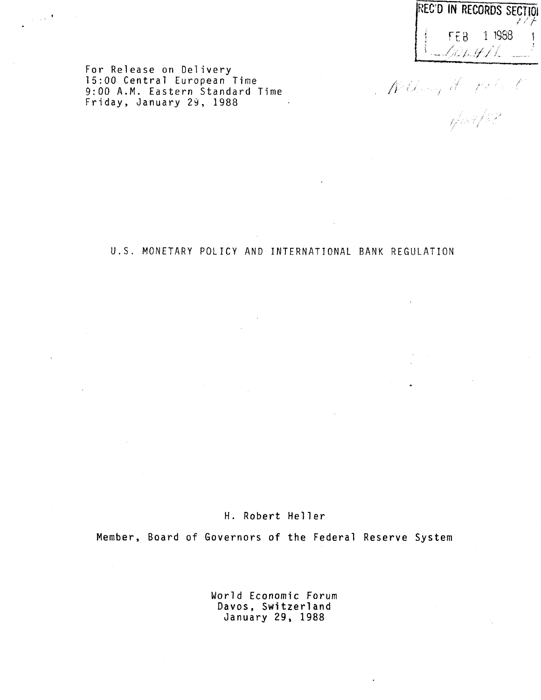| REC'D IN RECORDS SECTION |          |  |  |
|--------------------------|----------|--|--|
| and Hotel of De          | FFB 1988 |  |  |

Milling H. Polest

For Release on Deli<mark>very</mark> 15:00 Central European Time 9:00 A.M. Eastern Standard Time Friday, January 29, 1988

 $\sim 10^{-4}$ 

U.S. MONETARY POLICY AND INTERNATIONAL BANK REGULATION

# H. Robert Heller

Member, Board of Governors of the Federal Reserve System

World Economic Forum Davos, Switzerland January 29, 1988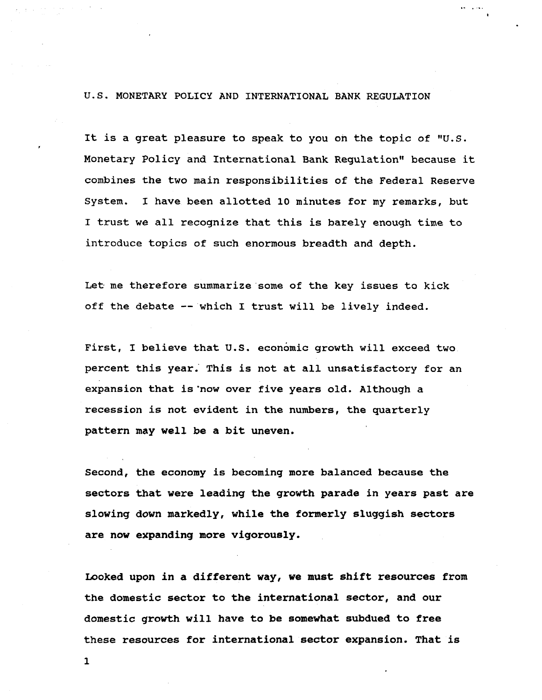### U.S. MONETARY POLICY AND INTERNATIONAL BANK REGULATION

It is a great pleasure to speak to you oh the topic of "U.S. Monetary Policy and International Bank Regulation" because it combines the two main responsibilities of the Federal Reserve System. I have been allotted 10 minutes for my remarks, but I trust we all recognize that this is barely enough time to introduce topics of such enormous breadth and depth.

Let me therefore summarize some of the key issues to kick off the debate — which I trust will be lively indeed.

First, I believe that U.S. economic growth will exceed two. percent this year. This is not at all unsatisfactory for an expansion that is'now over five years old. Although a recession is not evident in the numbers, the quarterly pattern may well be a bit uneven.

**Second, the economy is becoming more balanced because the sectors that were leading the growth parade in years past are slowing down markedly, while the formerly sluggish sectors are now expanding more vigorously.**

**Looked upon in a different way, we must shift resources from the domestic sector to the international sector, and our domestic growth will have to be somewhat subdued to free these resources for international sector expansion. That is**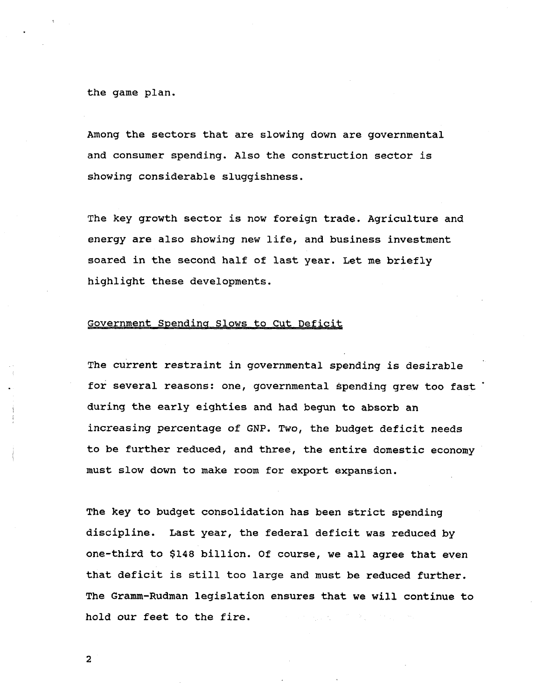**the game plan.**

**Among the sectors that are slowing down are governmental and consumer spending. Also the construction sector is showing considerable sluggishness.**

**The key growth sector is now foreign trade. Agriculture and energy are also showing new life, and business investment soared in the second half of last year. Let me briefly highlight these developments.**

## **Government Spending Slows to Cut Deficit**

**The current restraint in governmental spending is desirable for several reasons: one, governmental spending grew too fast during the early eighties and had begun to absorb an increasing percentage of GNP. Two, the budget deficit needs to be further reduced, and three, the entire domestic economy must slow down to make room for export expansion.**

**The key to budget consolidation has been strict spending discipline. Last year, the federal deficit was reduced by one-third to \$148 billion. Of course, we all agree that even that deficit is still too large and must be reduced further. The Gramm-Rudman legislation ensures that we will continue to hold our feet to the fire.**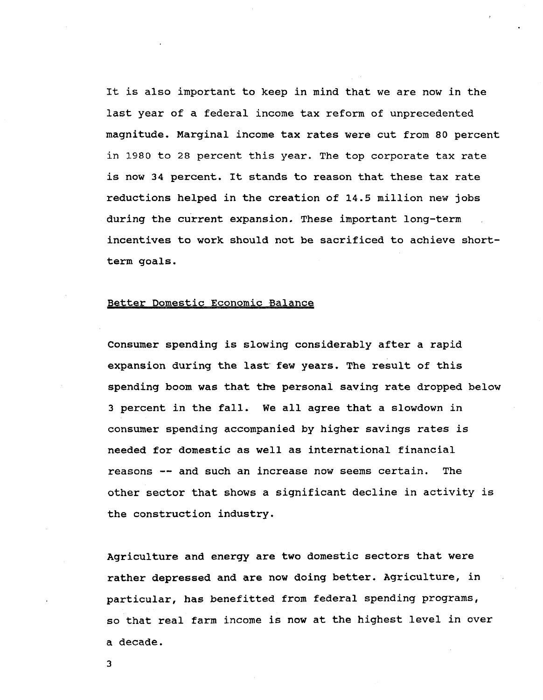**It is also important to keep in mind that we are now in the last year of a federal income tax reform of unprecedented magnitude. Marginal income tax rates were cut from 80 percent in 1980 to 28 percent this year. The top corporate tax rate is now 34 percent. It stands to reason that these tax rate reductions helped in the creation of 14.5 million new jobs during the current expansion. These important long-term incentives to work should not be sacrificed to achieve shortterm goals.**

## **Better Domestic Economic Balance**

**Consumer spending is slowing considerably after a rapid expansion during the last few years. The result of this spending boom was that the personal saving rate dropped below 3 percent in the fall. We all agree that a slowdown in consumer spending accompanied by higher savings rates is needed for domestic as well as international financial reasons — and such an increase now seems certain. The other sector that shows a significant decline in activity is the construction industry.**

**Agriculture and energy are two domestic sectors that were rather depressed and are now doing better. Agriculture, in particular, has benefitted from federal spending programs, so that real farm income is now at the highest level in over a decade.**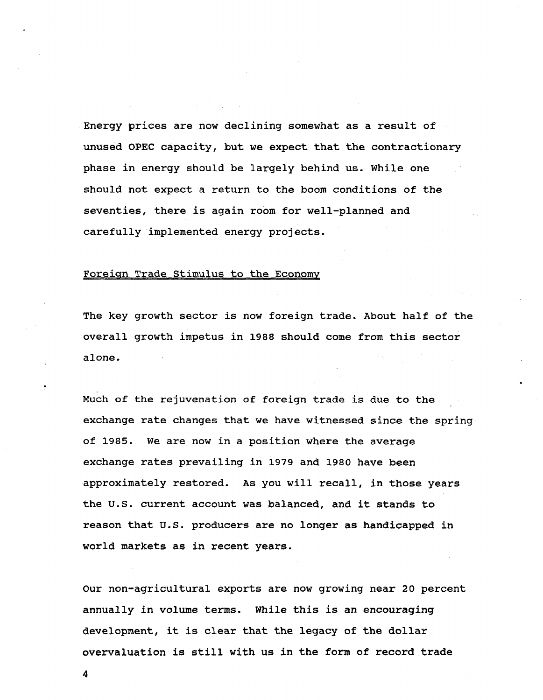**Energy prices are now declining somewhat as a result of unused OPEC capacity, but we expect that the contractionary phase in energy should be largely behind us. While one should not expect a return to the boom conditions of the seventies, there is again room for well-planned and carefully implemented energy projects.**

### **Foreign Trade Stimulus to the Economy**

**The key growth sector is now foreign trade. About half of the overall growth impetus in 1988 should come from this sector alone.**

**Much of the rejuvenation of foreign trade is due to the exchange rate changes that we have witnessed since the spring of 1985. We are now in a position where the average exchange rates prevailing in 1979 and 1980 have been approximately restored. As you will recall, in those years the U.S. current account was balanced, and it stands to reason that U.S. producers are no longer as handicapped in world markets as in recent years.**

**Our non-agricultural exports are now growing near 20 percent annually in volume terms. While this is an encouraging development, it is clear that the legacy of the dollar overvaluation is still with us in the form of record trade**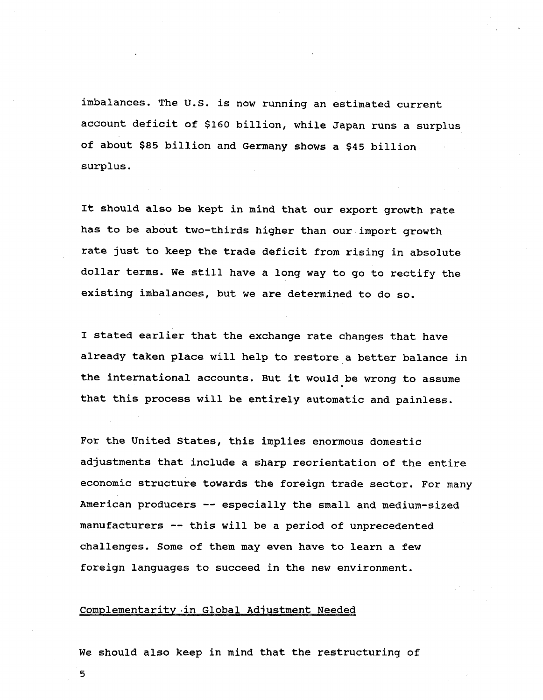**imbalances. The U.S. is now running an estimated current account deficit of \$160 billion, while Japan runs a surplus of about \$85 billion and Germany shows a \$45 billion surplus.**

**It should also be kept in mind that our export growth rate has to be about two-thirds higher than our import growth rate just to keep the trade deficit from rising in absolute dollar terms. We still have a long way to go to rectify the existing imbalances, but we are determined to do so.**

**I stated earlier that the exchange rate changes that have already taken place will help to restore a better balance in the international accounts. But it would be wrong to assume that this process will be entirely automatic and painless.**

**For the United States, this implies enormous domestic adjustments that include a sharp reorientation of the entire economic structure towards the foreign trade sector. For many American producers — especially the small and medium-sized manufacturers — this will be a period of unprecedented challenges. Some of them may even have to learn a few foreign languages to succeed in the new environment.**

#### **Complementarity in Global Adjustment Needed**

**We should also keep in mind that the restructuring of**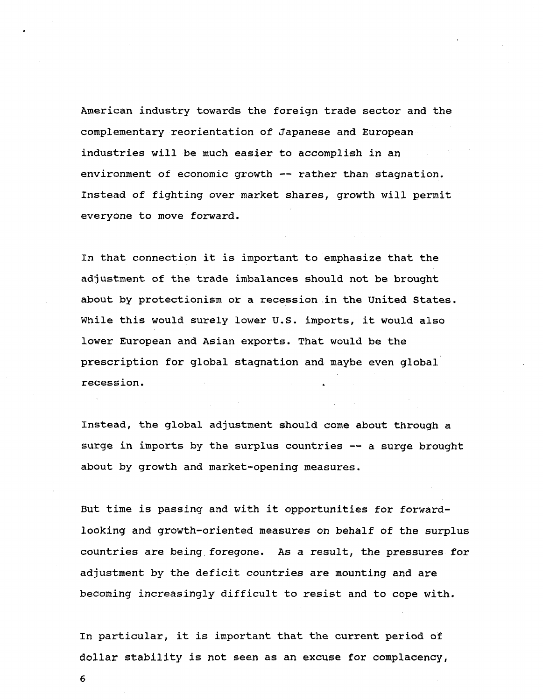**American industry towards the foreign trade sector and the complementary reorientation of Japanese and European industries will be much easier to accomplish in an environment of economic growth — rather than stagnation. Instead of fighting over market shares, growth will permit everyone to move forward.**

**In that connection it is important to emphasize that the adjustment of the trade imbalances should not be brought about by protectionism or a recession in the United States. While this would surely lower U.S. imports, it would also lower European and Asian exports. That would be the prescription for global stagnation and maybe even global recession. .**

**Instead, the global adjustment should come about through a surge in imports by the surplus countries — a surge brought about by growth and market-opening measures.**

**But time is passing and with it opportunities for forwardlooking and growth-oriented measures on behalf of the surplus countries are being foregone. As a result, the pressures for adjustment by the deficit countries are mounting and are becoming increasingly difficult to resist and to cope with.**

**In particular, it is important that the current period of dollar stability is not seen as an excuse for complacency,**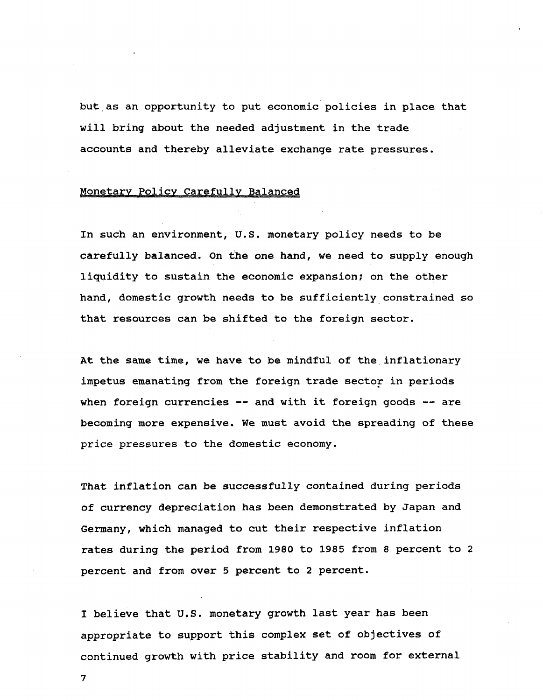**but as an opportunity to put economic policies in place that will bring about the needed adjustment in the trade accounts and thereby alleviate exchange rate pressures.**

#### **Monetary Policy Carefully Balanced**

**In such an environment, U.S. monetary policy needs to be carefully balanced. On the one hand, we need to supply enough liquidity to sustain the economic expansion; on the other hand, domestic growth needs to be sufficiently constrained so that resources can be shifted to the foreign sector.**

**At the same time, we have to be mindful of the inflationary impetus emanating from the foreign trade sector in periods when foreign currencies — and with it foreign goods — are becoming more expensive. We must avoid the spreading of these price pressures to the domestic economy.**

**That inflation can be successfully contained during periods of currency depreciation has been demonstrated by Japan and Germany, which managed to cut their respective inflation rates during the period from 1980 to 1985 from 8 percent to 2 percent and from over 5 percent to 2 percent.**

**I believe that U.S. monetary growth last year has been appropriate to support this complex set of objectives of continued growth with price stability and room for external**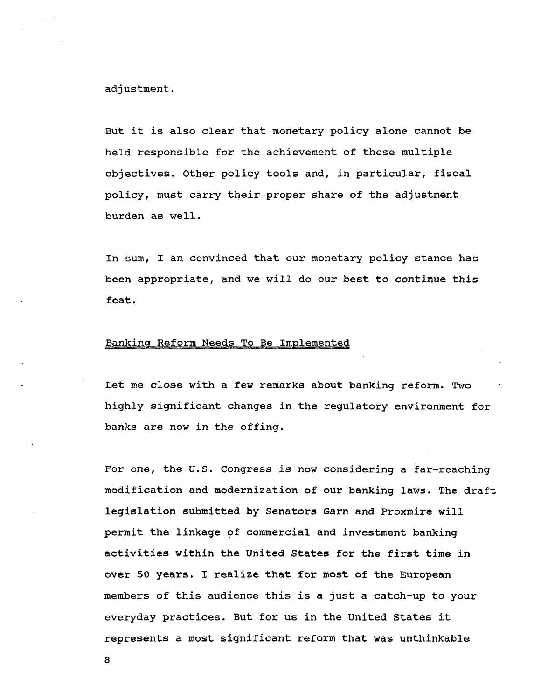**adjustment.**

**But it is also clear that monetary policy alone cannot be held responsible for the achievement of these multiple objectives. Other policy tools and, in particular, fiscal policy, must carry their proper share of the adjustment burden as well.**

**In sum, I am convinced that our monetary policy stance has been appropriate, and we will do our best to continue this feat.**

### **Banking Reform Needs To Be Implemented**

**Let me close with a few remarks about banking reform. Two highly significant changes in the regulatory environment for banks are now in the offing.**

**For one, the U.S. Congress is now considering a far-reaching modification and modernization of our banking laws. The draft legislation submitted by Senators Garn and Proxmire will permit the linkage of commercial and investment banking activities within the United States for the first time in over 50 years. I realize that for most of the European members of this audience this is a just a catch-up to your everyday practices. But for us in the United States it represents a most significant reform that was unthinkable**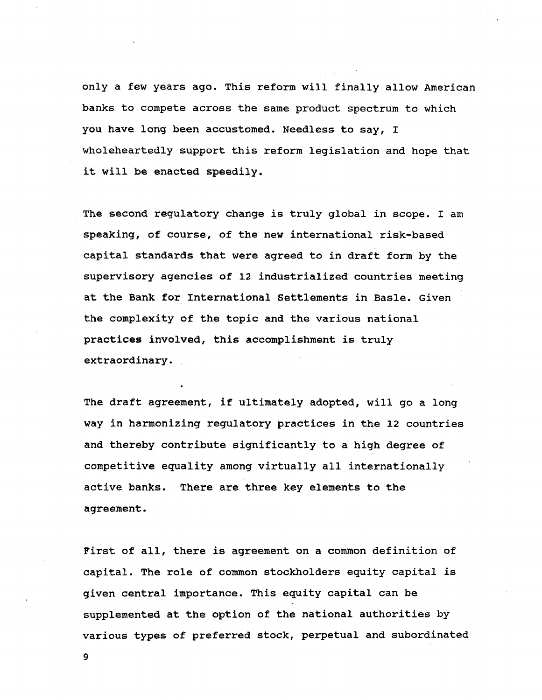**only a few years ago. This reform will finally allow American banks to compete across the same product spectrum to which you have long been accustomed. Needless to say, I wholeheartedly support this reform legislation and hope that it will be enacted speedily.**

**The second regulatory change is truly global in scope. I am speaking, of course, of the new international risk-based capital standards that were agreed to in draft form by the supervisory agencies of 12 industrialized countries meeting at the Bank for International Settlements in Basle. Given the complexity of the topic and the various national practices involved, this accomplishment is truly extraordinary.**

**The draft agreement, if ultimately adopted, will go a long way in harmonizing regulatory practices in the 12 countries and thereby contribute significantly to a high degree of competitive equality among virtually all internationally active banks. There are three key elements to the agreement.**

**First of all, there is agreement on a common definition of capital. The role of common stockholders equity capital is given central importance. This equity capital can be supplemented at the option of the national authorities by various types of preferred stock, perpetual and subordinated**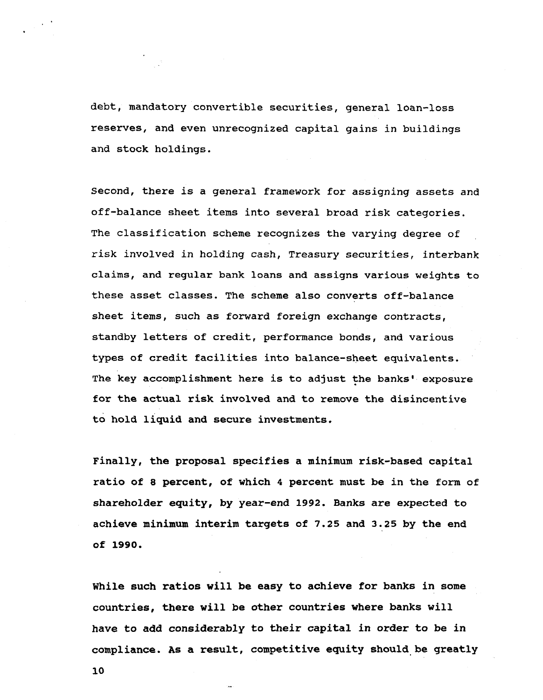**debt, mandatory convertible securities, general loan-loss reserves, and even unrecognized capital gains in buildings and stock holdings.**

**Second, there is a general framework for assigning assets and off-balance sheet items into several broad risk categories. The classification scheme recognizes the varying degree of risk involved in holding cash, Treasury securities, interbank claims, and regular bank loans and assigns various weights to these asset classes. The scheme also converts off-balance sheet items, such as forward foreign exchange contracts, standby letters of credit, performance bonds, and various types of credit facilities into balance-sheet equivalents. The key accomplishment here is to adjust the banks' exposure for the actual risk involved and to remove the disincentive to hold liquid and secure investments.**

**Finally, the proposal specifies a minimum risk-based capital ratio of 8 percent, of which 4 percent must be in the form of shareholder equity, by year-end 1992. Banks are expected to achieve minimum interim targets of 7.25 and 3.25 by the end of 1990.**

**While such ratios will be easy to achieve for banks in some countries, there will be other countries where banks will have to add considerably to their capital in order to be in compliance. As a result, competitive equity should be greatly**